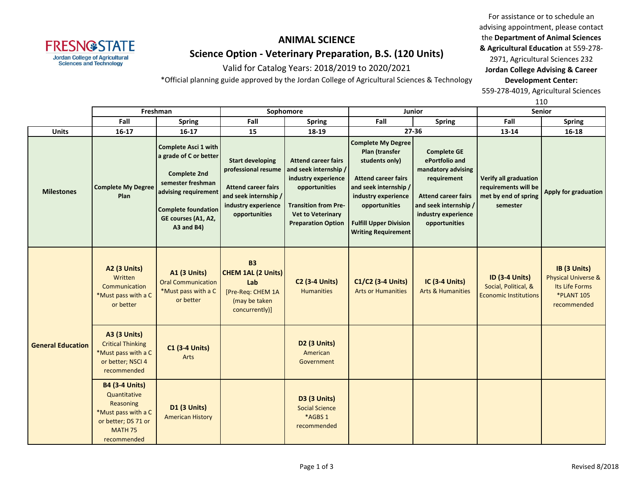# **FRESN@STATE Jordan College of Agricultural<br>Sciences and Technology**

## **ANIMAL SCIENCE Science Option - Veterinary Preparation, B.S. (120 Units)**

Valid for Catalog Years: 2018/2019 to 2020/2021

\*Official planning guide approved by the Jordan College of Agricultural Sciences & Technology

For assistance or to schedule an advising appointment, please contact the **Department of Animal Sciences & Agricultural Education** at 559-278- 2971, Agricultural Sciences 232 **Jordan College Advising & Career** 

**Development Center:**

559-278-4019, Agricultural Sciences

|                          | Freshman                                                                                                                          |                                                                                                                                                                                              | Sophomore                                                                                                                                     |                                                                                                                                                                                     | Junior                                                                                                                                                                                                                      |                                                                                                                                                                          | Senior                                                                            |                                                                                                      |
|--------------------------|-----------------------------------------------------------------------------------------------------------------------------------|----------------------------------------------------------------------------------------------------------------------------------------------------------------------------------------------|-----------------------------------------------------------------------------------------------------------------------------------------------|-------------------------------------------------------------------------------------------------------------------------------------------------------------------------------------|-----------------------------------------------------------------------------------------------------------------------------------------------------------------------------------------------------------------------------|--------------------------------------------------------------------------------------------------------------------------------------------------------------------------|-----------------------------------------------------------------------------------|------------------------------------------------------------------------------------------------------|
|                          | Fall<br><b>Spring</b>                                                                                                             |                                                                                                                                                                                              | Fall                                                                                                                                          | <b>Spring</b>                                                                                                                                                                       | Fall                                                                                                                                                                                                                        | <b>Spring</b>                                                                                                                                                            | Fall                                                                              | <b>Spring</b>                                                                                        |
| <b>Units</b>             | $16-17$                                                                                                                           | $16 - 17$                                                                                                                                                                                    | 15                                                                                                                                            | 18-19                                                                                                                                                                               |                                                                                                                                                                                                                             | $27 - 36$                                                                                                                                                                | 13-14                                                                             | $16 - 18$                                                                                            |
| <b>Milestones</b>        | <b>Complete My Degree</b><br>Plan                                                                                                 | <b>Complete Asci 1 with</b><br>a grade of C or better<br><b>Complete 2nd</b><br>semester freshman<br>advising requirement<br><b>Complete foundation</b><br>GE courses (A1, A2,<br>A3 and B4) | <b>Start developing</b><br>professional resume<br><b>Attend career fairs</b><br>and seek internship /<br>industry experience<br>opportunities | <b>Attend career fairs</b><br>and seek internship /<br>industry experience<br>opportunities<br><b>Transition from Pre-</b><br><b>Vet to Veterinary</b><br><b>Preparation Option</b> | <b>Complete My Degree</b><br>Plan (transfer<br>students only)<br><b>Attend career fairs</b><br>and seek internship /<br>industry experience<br>opportunities<br><b>Fulfill Upper Division</b><br><b>Writing Requirement</b> | <b>Complete GE</b><br>ePortfolio and<br>mandatory advising<br>requirement<br><b>Attend career fairs</b><br>and seek internship /<br>industry experience<br>opportunities | Verify all graduation<br>requirements will be<br>met by end of spring<br>semester | Apply for graduation                                                                                 |
| <b>General Education</b> | A2 (3 Units)<br>Written<br>Communication<br>*Must pass with a C<br>or better                                                      | <b>A1 (3 Units)</b><br><b>Oral Communication</b><br>*Must pass with a C<br>or better                                                                                                         | <b>B3</b><br><b>CHEM 1AL (2 Units)</b><br>Lab<br>[Pre-Req: CHEM 1A<br>(may be taken<br>concurrently)]                                         | <b>C2 (3-4 Units)</b><br><b>Humanities</b>                                                                                                                                          | C1/C2 (3-4 Units)<br><b>Arts or Humanities</b>                                                                                                                                                                              | <b>IC (3-4 Units)</b><br><b>Arts &amp; Humanities</b>                                                                                                                    | <b>ID (3-4 Units)</b><br>Social, Political, &<br><b>Economic Institutions</b>     | IB (3 Units)<br><b>Physical Universe &amp;</b><br>Its Life Forms<br><b>*PLANT 105</b><br>recommended |
|                          | <b>A3 (3 Units)</b><br><b>Critical Thinking</b><br>*Must pass with a C<br>or better; NSCI 4<br>recommended                        | <b>C1 (3-4 Units)</b><br>Arts                                                                                                                                                                |                                                                                                                                               | D2 (3 Units)<br>American<br>Government                                                                                                                                              |                                                                                                                                                                                                                             |                                                                                                                                                                          |                                                                                   |                                                                                                      |
|                          | <b>B4 (3-4 Units)</b><br>Quantitative<br>Reasoning<br>*Must pass with a C<br>or better; DS 71 or<br><b>MATH 75</b><br>recommended | D1 (3 Units)<br><b>American History</b>                                                                                                                                                      |                                                                                                                                               | D3 (3 Units)<br><b>Social Science</b><br>*AGBS 1<br>recommended                                                                                                                     |                                                                                                                                                                                                                             |                                                                                                                                                                          |                                                                                   |                                                                                                      |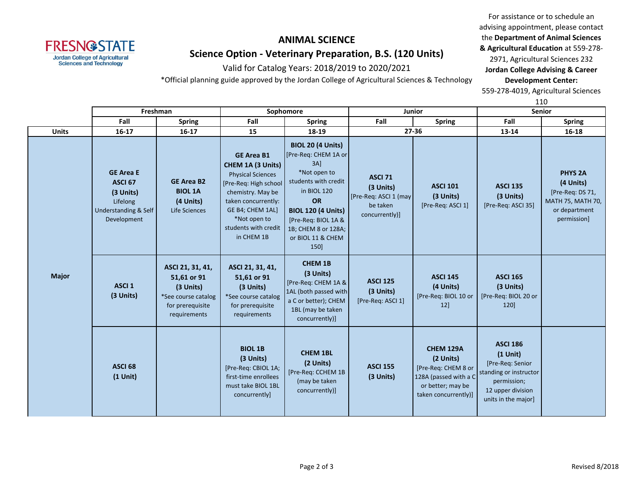#### **ANIMAL SCIENCE**

**FRESN@STATE Jordan College of Agricultural<br>Sciences and Technology** 

#### **Science Option - Veterinary Preparation, B.S. (120 Units)**

Valid for Catalog Years: 2018/2019 to 2020/2021

\*Official planning guide approved by the Jordan College of Agricultural Sciences & Technology

For assistance or to schedule an advising appointment, please contact the **Department of Animal Sciences & Agricultural Education** at 559-278- 2971, Agricultural Sciences 232

**Jordan College Advising & Career Development Center:**

559-278-4019, Agricultural Sciences

110

|              | Freshman                                                                                               |                                                                                                         |                                                                                                                                                                                                                   | Sophomore                                                                                                                                                                                                                          | <b>Junior</b>                                                                       |                                                                                                                            | ᆠᅶᅜ<br><b>Senior</b>                                                                                                                   |                                                                                                      |
|--------------|--------------------------------------------------------------------------------------------------------|---------------------------------------------------------------------------------------------------------|-------------------------------------------------------------------------------------------------------------------------------------------------------------------------------------------------------------------|------------------------------------------------------------------------------------------------------------------------------------------------------------------------------------------------------------------------------------|-------------------------------------------------------------------------------------|----------------------------------------------------------------------------------------------------------------------------|----------------------------------------------------------------------------------------------------------------------------------------|------------------------------------------------------------------------------------------------------|
|              | Fall                                                                                                   | <b>Spring</b>                                                                                           | Fall                                                                                                                                                                                                              | <b>Spring</b>                                                                                                                                                                                                                      | Fall                                                                                | <b>Spring</b>                                                                                                              | Fall                                                                                                                                   | <b>Spring</b>                                                                                        |
| <b>Units</b> | $16 - 17$                                                                                              | $16 - 17$                                                                                               | 15                                                                                                                                                                                                                | 18-19                                                                                                                                                                                                                              |                                                                                     | $27 - 36$                                                                                                                  | 13-14                                                                                                                                  | 16-18                                                                                                |
| <b>Major</b> | <b>GE Area E</b><br>ASCI <sub>67</sub><br>(3 Units)<br>Lifelong<br>Understanding & Self<br>Development | <b>GE Area B2</b><br><b>BIOL 1A</b><br>(4 Units)<br>Life Sciences                                       | <b>GE Area B1</b><br>CHEM 1A (3 Units)<br><b>Physical Sciences</b><br>[Pre-Req: High school<br>chemistry. May be<br>taken concurrently:<br>GE B4; CHEM 1AL]<br>*Not open to<br>students with credit<br>in CHEM 1B | <b>BIOL 20 (4 Units)</b><br>[Pre-Req: CHEM 1A or<br>3A<br>*Not open to<br>students with credit<br>in BIOL 120<br><b>OR</b><br><b>BIOL 120 (4 Units)</b><br>[Pre-Req: BIOL 1A &<br>1B; CHEM 8 or 128A;<br>or BIOL 11 & CHEM<br>150] | <b>ASCI 71</b><br>(3 Units)<br>[Pre-Req: ASCI 1 (may)<br>be taken<br>concurrently)] | <b>ASCI 101</b><br>(3 Units)<br>[Pre-Req: ASCI 1]                                                                          | <b>ASCI 135</b><br>(3 Units)<br>[Pre-Req: ASCI 35]                                                                                     | <b>PHYS 2A</b><br>(4 Units)<br>[Pre-Req: DS 71,<br>MATH 75, MATH 70,<br>or department<br>permission] |
|              | <b>ASCI 1</b><br>(3 Units)                                                                             | ASCI 21, 31, 41,<br>51,61 or 91<br>(3 Units)<br>*See course catalog<br>for prerequisite<br>requirements | ASCI 21, 31, 41,<br>51,61 or 91<br>(3 Units)<br>*See course catalog<br>for prerequisite<br>requirements                                                                                                           | <b>CHEM 1B</b><br>(3 Units)<br>[Pre-Req: CHEM 1A &<br>1AL (both passed with<br>a C or better); CHEM<br>1BL (may be taken<br>concurrently)]                                                                                         | <b>ASCI 125</b><br>(3 Units)<br>[Pre-Req: ASCI 1]                                   | <b>ASCI 145</b><br>(4 Units)<br>[Pre-Req: BIOL 10 or<br>12                                                                 | <b>ASCI 165</b><br>(3 Units)<br>[Pre-Req: BIOL 20 or<br>120]                                                                           |                                                                                                      |
|              | <b>ASCI 68</b><br>$(1$ Unit)                                                                           |                                                                                                         | <b>BIOL 1B</b><br>(3 Units)<br>[Pre-Req: CBIOL 1A;<br>first-time enrollees<br>must take BIOL 1BL<br>concurrently]                                                                                                 | <b>CHEM 1BL</b><br>(2 Units)<br>[Pre-Req: CCHEM 1B<br>(may be taken<br>concurrently)]                                                                                                                                              | <b>ASCI 155</b><br>(3 Units)                                                        | <b>CHEM 129A</b><br>(2 Units)<br>[Pre-Req: CHEM 8 or<br>128A (passed with a C<br>or better; may be<br>taken concurrently)] | <b>ASCI 186</b><br>$(1$ Unit)<br>[Pre-Req: Senior<br>standing or instructor<br>permission;<br>12 upper division<br>units in the major] |                                                                                                      |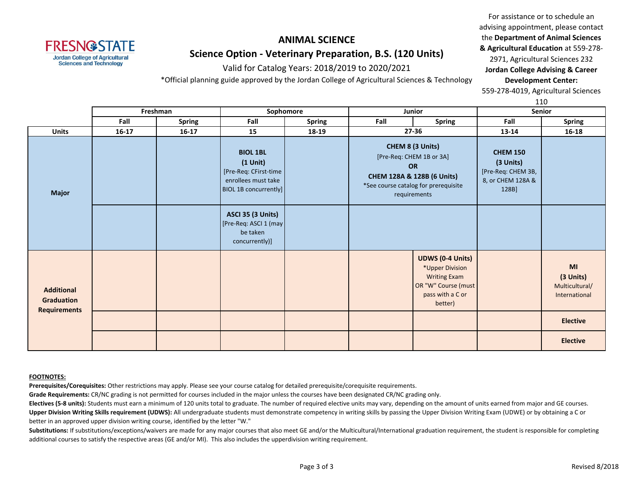#### **FRESN@STATE Jordan College of Agricultural**

**Sciences and Technology** 

#### **ANIMAL SCIENCE Science Option - Veterinary Preparation, B.S. (120 Units)**

Valid for Catalog Years: 2018/2019 to 2020/2021

\*Official planning guide approved by the Jordan College of Agricultural Sciences & Technology

For assistance or to schedule an advising appointment, please contact the **Department of Animal Sciences & Agricultural Education** at 559-278- 2971, Agricultural Sciences 232 **Jordan College Advising & Career Development Center:**

559-278-4019, Agricultural Sciences

110

|                                                               |           | Freshman      | Sophomore<br>Junior                                                                                              |               | ∸∸∽<br><b>Senior</b> |                                                                                                                                                 |                                                                                  |                                                    |
|---------------------------------------------------------------|-----------|---------------|------------------------------------------------------------------------------------------------------------------|---------------|----------------------|-------------------------------------------------------------------------------------------------------------------------------------------------|----------------------------------------------------------------------------------|----------------------------------------------------|
|                                                               | Fall      | <b>Spring</b> | Fall                                                                                                             | <b>Spring</b> | Fall                 | <b>Spring</b>                                                                                                                                   | Fall                                                                             | <b>Spring</b>                                      |
| <b>Units</b>                                                  | $16 - 17$ | $16 - 17$     | 15                                                                                                               | 18-19         | $27 - 36$            |                                                                                                                                                 | 13-14                                                                            | 16-18                                              |
| <b>Major</b>                                                  |           |               | <b>BIOL 1BL</b><br>$(1$ Unit $)$<br>[Pre-Req: CFirst-time<br>enrollees must take<br><b>BIOL 1B concurrently]</b> |               |                      | CHEM 8 (3 Units)<br>[Pre-Req: CHEM 1B or 3A]<br><b>OR</b><br>CHEM 128A & 128B (6 Units)<br>*See course catalog for prerequisite<br>requirements | <b>CHEM 150</b><br>(3 Units)<br>[Pre-Req: CHEM 3B,<br>8, or CHEM 128A &<br>128B] |                                                    |
|                                                               |           |               | ASCI 35 (3 Units)<br>[Pre-Req: ASCI 1 (may)<br>be taken<br>concurrently)]                                        |               |                      |                                                                                                                                                 |                                                                                  |                                                    |
| <b>Additional</b><br><b>Graduation</b><br><b>Requirements</b> |           |               |                                                                                                                  |               |                      | <b>UDWS (0-4 Units)</b><br>*Upper Division<br><b>Writing Exam</b><br>OR "W" Course (must<br>pass with a C or<br>better)                         |                                                                                  | MI<br>(3 Units)<br>Multicultural/<br>International |
|                                                               |           |               |                                                                                                                  |               |                      |                                                                                                                                                 |                                                                                  | <b>Elective</b>                                    |
|                                                               |           |               |                                                                                                                  |               |                      |                                                                                                                                                 |                                                                                  | <b>Elective</b>                                    |

#### **FOOTNOTES:**

**Prerequisites/Corequisites:** Other restrictions may apply. Please see your course catalog for detailed prerequisite/corequisite requirements.

**Grade Requirements:** CR/NC grading is not permitted for courses included in the major unless the courses have been designated CR/NC grading only.

Electives (5-8 units): Students must earn a minimum of 120 units total to graduate. The number of required elective units may vary, depending on the amount of units earned from major and GE courses. **Upper Division Writing Skills requirement (UDWS):** All undergraduate students must demonstrate competency in writing skills by passing the Upper Division Writing Exam (UDWE) or by obtaining a C or better in an approved upper division writing course, identified by the letter "W."

Substitutions: If substitutions/exceptions/waivers are made for any major courses that also meet GE and/or the Multicultural/International graduation requirement, the student is responsible for completing additional courses to satisfy the respective areas (GE and/or MI). This also includes the upperdivision writing requirement.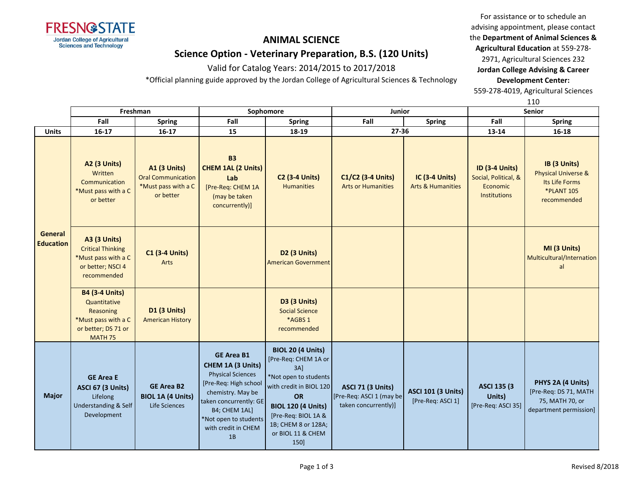

## **ANIMAL SCIENCE Science Option - Veterinary Preparation, B.S. (120 Units)**

Valid for Catalog Years: 2014/2015 to 2017/2018

\*Official planning guide approved by the Jordan College of Agricultural Sciences & Technology

For assistance or to schedule an advising appointment, please contact the **Department of Animal Sciences & Agricultural Education** at 559-278- 2971, Agricultural Sciences 232

**Jordan College Advising & Career Development Center:**

559-278-4019, Agricultural Sciences

110

|                             | Freshman                                                                                                           |                                                                                      | Sophomore                                                                                                                                                                                                         |                                                                                                                                                                                                                              | Junior                                                                       |                                                       | Senior                                                                           |                                                                                                      |
|-----------------------------|--------------------------------------------------------------------------------------------------------------------|--------------------------------------------------------------------------------------|-------------------------------------------------------------------------------------------------------------------------------------------------------------------------------------------------------------------|------------------------------------------------------------------------------------------------------------------------------------------------------------------------------------------------------------------------------|------------------------------------------------------------------------------|-------------------------------------------------------|----------------------------------------------------------------------------------|------------------------------------------------------------------------------------------------------|
|                             | Fall                                                                                                               | <b>Spring</b>                                                                        | Fall                                                                                                                                                                                                              | <b>Spring</b>                                                                                                                                                                                                                | Fall                                                                         | <b>Spring</b>                                         | Fall                                                                             | <b>Spring</b>                                                                                        |
| <b>Units</b>                | $16-17$                                                                                                            | $16-17$                                                                              | 15                                                                                                                                                                                                                | 18-19                                                                                                                                                                                                                        | $27 - 36$                                                                    |                                                       | 13-14                                                                            | $16 - 18$                                                                                            |
|                             | <b>A2 (3 Units)</b><br>Written<br>Communication<br>*Must pass with a C<br>or better                                | <b>A1 (3 Units)</b><br><b>Oral Communication</b><br>*Must pass with a C<br>or better | <b>B3</b><br><b>CHEM 1AL (2 Units)</b><br>Lab<br>[Pre-Req: CHEM 1A<br>(may be taken<br>concurrently)]                                                                                                             | <b>C2 (3-4 Units)</b><br><b>Humanities</b>                                                                                                                                                                                   | C1/C2 (3-4 Units)<br><b>Arts or Humanities</b>                               | <b>IC (3-4 Units)</b><br><b>Arts &amp; Humanities</b> | <b>ID (3-4 Units)</b><br>Social, Political, &<br>Economic<br><b>Institutions</b> | IB (3 Units)<br><b>Physical Universe &amp;</b><br>Its Life Forms<br><b>*PLANT 105</b><br>recommended |
| General<br><b>Education</b> | <b>A3 (3 Units)</b><br><b>Critical Thinking</b><br>*Must pass with a C<br>or better; NSCI 4<br>recommended         | <b>C1 (3-4 Units)</b><br>Arts                                                        |                                                                                                                                                                                                                   | D <sub>2</sub> (3 Units)<br><b>American Government</b>                                                                                                                                                                       |                                                                              |                                                       |                                                                                  | MI (3 Units)<br>Multicultural/Internation<br>al                                                      |
|                             | <b>B4 (3-4 Units)</b><br>Quantitative<br>Reasoning<br>*Must pass with a C<br>or better; DS 71 or<br><b>MATH 75</b> | D1 (3 Units)<br><b>American History</b>                                              |                                                                                                                                                                                                                   | <b>D3 (3 Units)</b><br><b>Social Science</b><br>*AGBS 1<br>recommended                                                                                                                                                       |                                                                              |                                                       |                                                                                  |                                                                                                      |
| <b>Major</b>                | <b>GE Area E</b><br><b>ASCI 67 (3 Units)</b><br>Lifelong<br>Understanding & Self<br>Development                    | <b>GE Area B2</b><br><b>BIOL 1A (4 Units)</b><br>Life Sciences                       | <b>GE Area B1</b><br>CHEM 1A (3 Units)<br><b>Physical Sciences</b><br>[Pre-Req: High school<br>chemistry. May be<br>taken concurrently: GE<br>B4; CHEM 1AL]<br>*Not open to students<br>with credit in CHEM<br>1B | <b>BIOL 20 (4 Units)</b><br>[Pre-Req: CHEM 1A or<br>$3A$ ]<br>*Not open to students<br>with credit in BIOL 120<br>OR<br><b>BIOL 120 (4 Units)</b><br>[Pre-Req: BIOL 1A &<br>1B; CHEM 8 or 128A;<br>or BIOL 11 & CHEM<br>150] | <b>ASCI 71 (3 Units)</b><br>[Pre-Req: ASCI 1 (may be<br>taken concurrently)] | <b>ASCI 101 (3 Units)</b><br>[Pre-Req: ASCI 1]        | <b>ASCI 135 (3)</b><br>Units)<br>[Pre-Req: ASCI 35]                              | PHYS 2A (4 Units)<br>[Pre-Req: DS 71, MATH<br>75, MATH 70, or<br>department permission]              |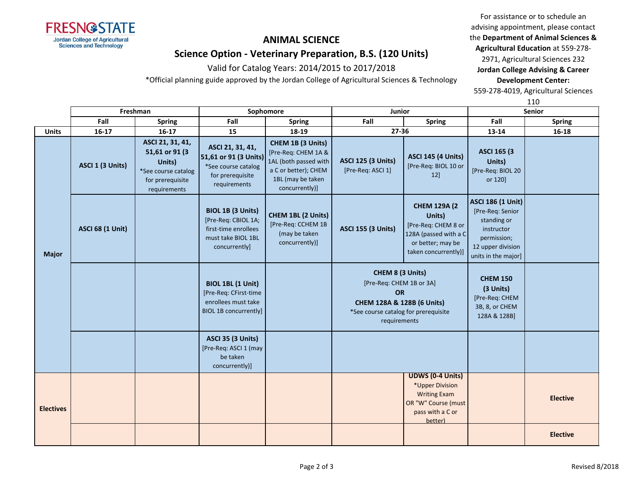

## **ANIMAL SCIENCE Science Option - Veterinary Preparation, B.S. (120 Units)**

Valid for Catalog Years: 2014/2015 to 2017/2018

\*Official planning guide approved by the Jordan College of Agricultural Sciences & Technology

For assistance or to schedule an advising appointment, please contact the **Department of Animal Sciences & Agricultural Education** at 559-278-

2971, Agricultural Sciences 232 **Jordan College Advising & Career Development Center:**

559-278-4019, Agricultural Sciences

110

|                  | Freshman                |                                                                                                          | Sophomore                                                                                               |                                                                                                                                  | <b>Junior</b>                                                                                                                                   |                                                                                                                            | <b>Senior</b>                                                                                                                        |                 |
|------------------|-------------------------|----------------------------------------------------------------------------------------------------------|---------------------------------------------------------------------------------------------------------|----------------------------------------------------------------------------------------------------------------------------------|-------------------------------------------------------------------------------------------------------------------------------------------------|----------------------------------------------------------------------------------------------------------------------------|--------------------------------------------------------------------------------------------------------------------------------------|-----------------|
|                  | Fall                    | <b>Spring</b>                                                                                            | Fall                                                                                                    | <b>Spring</b>                                                                                                                    | Fall                                                                                                                                            | <b>Spring</b>                                                                                                              | Fall                                                                                                                                 | <b>Spring</b>   |
| <b>Units</b>     | $16 - 17$               | $16 - 17$                                                                                                | 15                                                                                                      | 18-19                                                                                                                            | 27-36                                                                                                                                           |                                                                                                                            | 13-14                                                                                                                                | 16-18           |
| <b>Major</b>     | ASCI 1 (3 Units)        | ASCI 21, 31, 41,<br>51,61 or 91 (3)<br>Units)<br>*See course catalog<br>for prerequisite<br>requirements | ASCI 21, 31, 41,<br>51,61 or 91 (3 Units)<br>*See course catalog<br>for prerequisite<br>requirements    | CHEM 1B (3 Units)<br>[Pre-Req: CHEM 1A &<br>1AL (both passed with<br>a C or better); CHEM<br>1BL (may be taken<br>concurrently)] | <b>ASCI 125 (3 Units)</b><br>[Pre-Req: ASCI 1]                                                                                                  | <b>ASCI 145 (4 Units)</b><br>[Pre-Req: BIOL 10 or<br>$12$ ]                                                                | ASCI 165 (3)<br>Units)<br>[Pre-Req: BIOL 20<br>or 120]                                                                               |                 |
|                  | <b>ASCI 68 (1 Unit)</b> |                                                                                                          | BIOL 1B (3 Units)<br>[Pre-Req: CBIOL 1A;<br>first-time enrollees<br>must take BIOL 1BL<br>concurrently] | CHEM 1BL (2 Units)<br>[Pre-Req: CCHEM 1B<br>(may be taken<br>concurrently)]                                                      | <b>ASCI 155 (3 Units)</b>                                                                                                                       | <b>CHEM 129A (2</b><br>Units)<br>[Pre-Req: CHEM 8 or<br>128A (passed with a C<br>or better; may be<br>taken concurrently)] | <b>ASCI 186 (1 Unit)</b><br>[Pre-Req: Senior<br>standing or<br>instructor<br>permission;<br>12 upper division<br>units in the major] |                 |
|                  |                         |                                                                                                          | BIOL 1BL (1 Unit)<br>[Pre-Req: CFirst-time<br>enrollees must take<br>BIOL 1B concurrently]              |                                                                                                                                  | CHEM 8 (3 Units)<br>[Pre-Req: CHEM 1B or 3A]<br><b>OR</b><br>CHEM 128A & 128B (6 Units)<br>*See course catalog for prerequisite<br>requirements |                                                                                                                            | <b>CHEM 150</b><br>(3 Units)<br>[Pre-Req: CHEM<br>3B, 8, or CHEM<br>128A & 128B]                                                     |                 |
|                  |                         |                                                                                                          | <b>ASCI 35 (3 Units)</b><br>[Pre-Req: ASCI 1 (may<br>be taken<br>concurrently)]                         |                                                                                                                                  |                                                                                                                                                 |                                                                                                                            |                                                                                                                                      |                 |
| <b>Electives</b> |                         |                                                                                                          |                                                                                                         |                                                                                                                                  |                                                                                                                                                 | <b>UDWS (0-4 Units)</b><br>*Upper Division<br><b>Writing Exam</b><br>OR "W" Course (must<br>pass with a C or<br>better)    |                                                                                                                                      | <b>Elective</b> |
|                  |                         |                                                                                                          |                                                                                                         |                                                                                                                                  |                                                                                                                                                 |                                                                                                                            |                                                                                                                                      | <b>Elective</b> |